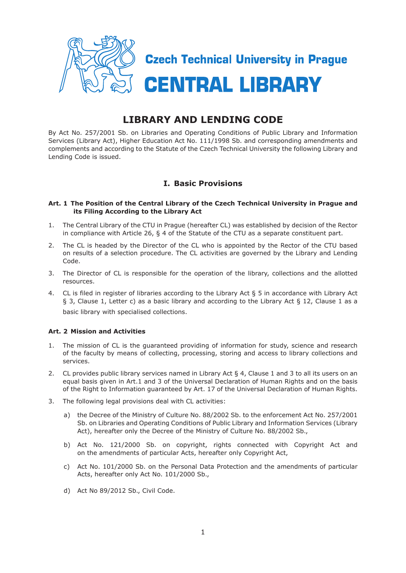

# **LIBRARY AND LENDING CODE**

By Act No. 257/2001 Sb. on Libraries and Operating Conditions of Public Library and Information Services (Library Act), Higher Education Act No. 111/1998 Sb. and corresponding amendments and complements and according to the Statute of the Czech Technical University the following Library and Lending Code is issued.

# **I. Basic Provisions**

#### **Art. 1 The Position of the Central Library of the Czech Technical University in Prague and its Filing According to the Library Act**

- 1. The Central Library of the CTU in Prague (hereafter CL) was established by decision of the Rector in compliance with Article 26, § 4 of the Statute of the CTU as a separate constituent part.
- 2. The CL is headed by the Director of the CL who is appointed by the Rector of the CTU based on results of a selection procedure. The CL activities are governed by the Library and Lending Code.
- 3. The Director of CL is responsible for the operation of the library, collections and the allotted resources.
- 4. CL is filed in register of libraries according to the Library Act § 5 in accordance with Library Act § 3, Clause 1, Letter c) as a basic library and according to the Library Act § 12, Clause 1 as a basic library with specialised collections.

# **Art. 2 Mission and Activities**

- 1. The mission of CL is the guaranteed providing of information for study, science and research of the faculty by means of collecting, processing, storing and access to library collections and services.
- 2. CL provides public library services named in Library Act § 4, Clause 1 and 3 to all its users on an equal basis given in Art.1 and 3 of the Universal Declaration of Human Rights and on the basis of the Right to Information guaranteed by Art. 17 of the Universal Declaration of Human Rights.
- 3. The following legal provisions deal with CL activities:
	- a) the Decree of the Ministry of Culture No. 88/2002 Sb. to the enforcement Act No. 257/2001 Sb. on Libraries and Operating Conditions of Public Library and Information Services (Library Act), hereafter only the Decree of the Ministry of Culture No. 88/2002 Sb.,
	- b) Act No. 121/2000 Sb. on copyright, rights connected with Copyright Act and on the amendments of particular Acts, hereafter only Copyright Act,
	- c) Act No. 101/2000 Sb. on the Personal Data Protection and the amendments of particular Acts, hereafter only Act No. 101/2000 Sb.,
	- d) Act No 89/2012 Sb., Civil Code.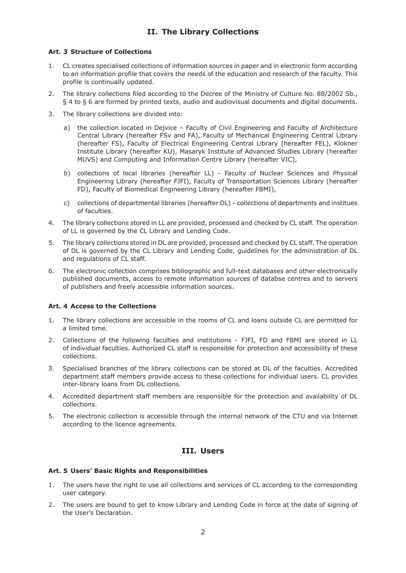# **II. The Library Collections**

#### **Art. 3 Structure of Collections**

- 1. CL creates specialised collections of information sources in paper and in electronic form according to an information profile that covers the needs of the education and research of the faculty. This profile is continually updated.
- 2. The library collections filed according to the Decree of the Ministry of Culture No. 88/2002 Sb., § 4 to § 6 are formed by printed texts, audio and audiovisual documents and digital documents.
- 3. The library collections are divided into:
	- a) the collection located in Dejvice Faculty of Civil Engineering and Faculty of Architecture Central Library (hereafter FSv and FA), Faculty of Mechanical Engineering Central Library (hereafter FS), Faculty of Electrical Engineering Central Library (hereafter FEL), Klokner Institute Library (hereafter KU), Masaryk Institute of Advanced Studies Library (hereafter MUVS) and Computing and Information Centre Library (hereafter VIC),
	- b) collections of local libraries (hereafter LL) Faculty of Nuclear Sciences and Physical Engineering Library (hereafter FJFI), Faculty of Transportation Sciences Library (hereafter FD), Faculty of Biomedical Engineering Library (hereafter FBMI),
	- c) collections of departmental libraries (hereafter DL) collections of departments and institues of faculties.
- 4. The library collections stored in LL are provided, processed and checked by CL staff. The operation of LL is governed by the CL Library and Lending Code.
- 5. The library collections stored in DL are provided, processed and checked by CL staff. The operation of DL is governed by the CL Library and Lending Code, guidelines for the administration of DL and regulations of CL staff.
- 6. The electronic collection comprises bibliographic and full-text databases and other electronically published documents, access to remote information sources of databse centres and to servers of publishers and freely accessible information sources.

# **Art. 4 Access to the Collections**

- 1. The library collections are accessible in the rooms of CL and loans outside CL are permitted for a limited time.
- 2. Collections of the following faculties and institutions FJFI, FD and FBMI are stored in LL of individual faculties. Authorized CL staff is responsible for protection and accessibility of these collections.
- 3. Specialised branches of the library collections can be stored at DL of the faculties. Accredited department staff members provide access to these collections for individual users. CL provides inter-library loans from DL collections.
- 4. Accredited department staff members are responsible for the protection and availability of DL collections.
- 5. The electronic collection is accessible through the internal network of the CTU and via Internet according to the licence agreements.

# **III. Users**

#### **Art. 5 Users' Basic Rights and Responsibilities**

- 1. The users have the right to use all collections and services of CL according to the corresponding user category.
- 2. The users are bound to get to know Library and Lending Code in force at the date of signing of the User's Declaration.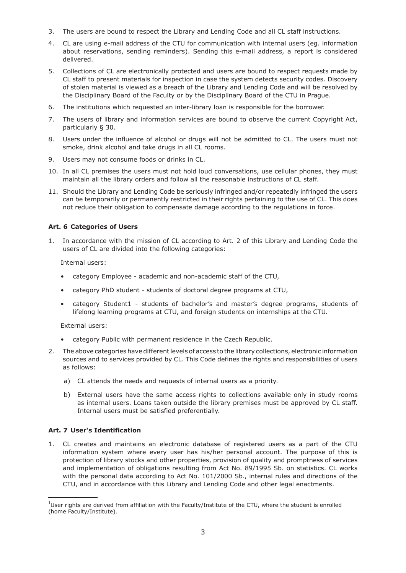- 3. The users are bound to respect the Library and Lending Code and all CL staff instructions.
- 4. CL are using e-mail address of the CTU for communication with internal users (eg. information about reservations, sending reminders). Sending this e-mail address, a report is considered delivered.
- 5. Collections of CL are electronically protected and users are bound to respect requests made by CL staff to present materials for inspection in case the system detects security codes. Discovery of stolen material is viewed as a breach of the Library and Lending Code and will be resolved by the Disciplinary Board of the Faculty or by the Disciplinary Board of the CTU in Prague.
- 6. The institutions which requested an inter-library loan is responsible for the borrower.
- 7. The users of library and information services are bound to observe the current Copyright Act, particularly § 30.
- 8. Users under the influence of alcohol or drugs will not be admitted to CL. The users must not smoke, drink alcohol and take drugs in all CL rooms.
- 9. Users may not consume foods or drinks in CL.
- 10. In all CL premises the users must not hold loud conversations, use cellular phones, they must maintain all the library orders and follow all the reasonable instructions of CL staff.
- 11. Should the Library and Lending Code be seriously infringed and/or repeatedly infringed the users can be temporarily or permanently restricted in their rights pertaining to the use of CL. This does not reduce their obligation to compensate damage according to the regulations in force.

#### **Art. 6 Categories of Users**

1. In accordance with the mission of CL according to Art. 2 of this Library and Lending Code the users of CL are divided into the following categories:

Internal users:

- category Employee academic and non-academic staff of the CTU,
- category PhD student students of doctoral degree programs at CTU,
- category Student1 students of bachelor's and master's degree programs, students of lifelong learning programs at CTU, and foreign students on internships at the CTU.

External users:

- category Public with permanent residence in the Czech Republic.
- 2. The above categories have different levels of access to the library collections, electronic information sources and to services provided by CL. This Code defines the rights and responsibilities of users as follows:
	- a) CL attends the needs and requests of internal users as a priority.
	- b) External users have the same access rights to collections available only in study rooms as internal users. Loans taken outside the library premises must be approved by CL staff. Internal users must be satisfied preferentially.

# **Art. 7 User's Identification**

1. CL creates and maintains an electronic database of registered users as a part of the CTU information system where every user has his/her personal account. The purpose of this is protection of library stocks and other properties, provision of quality and promptness of services and implementation of obligations resulting from Act No. 89/1995 Sb. on statistics. CL works with the personal data according to Act No. 101/2000 Sb., internal rules and directions of the CTU, and in accordance with this Library and Lending Code and other legal enactments.

 $1$ User rights are derived from affiliation with the Faculty/Institute of the CTU, where the student is enrolled (home Faculty/Institute).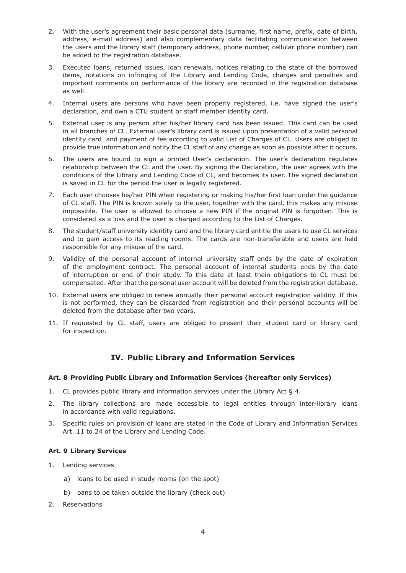- 2. With the user's agreement their basic personal data (surname, first name, prefix, date of birth, address, e-mail address) and also complementary data facilitating communication between the users and the library staff (temporary address, phone number, cellular phone number) can be added to the registration database.
- 3. Executed loans, returned issues, loan renewals, notices relating to the state of the borrowed items, notations on infringing of the Library and Lending Code, charges and penalties and important comments on performance of the library are recorded in the registration database as well.
- 4. Internal users are persons who have been properly registered, i.e. have signed the user's declaration, and own a CTU student or staff member identity card.
- 5. External user is any person after his/her library card has been issued. This card can be used in all branches of CL. External user's library card is issued upon presentation of a valid personal identity card and payment of fee according to valid List of Charges of CL. Users are obliged to provide true information and notify the CL staff of any change as soon as possible after it occurs.
- 6. The users are bound to sign a printed User's declaration. The user's declaration regulates relationship between the CL and the user. By signing the Declaration, the user agrees with the conditions of the Library and Lending Code of CL, and becomes its user. The signed declaration is saved in CL for the period the user is legally registered.
- 7. Each user chooses his/her PIN when registering or making his/her first loan under the guidance of CL staff. The PIN is known solely to the user, together with the card, this makes any misuse impossible. The user is allowed to choose a new PIN if the original PIN is forgotten. This is considered as a loss and the user is charged according to the List of Charges.
- 8. The student/staff university identity card and the library card entitle the users to use CL services and to gain access to its reading rooms. The cards are non-transferable and users are held responsible for any misuse of the card.
- 9. Validity of the personal account of internal university staff ends by the date of expiration of the employment contract. The personal account of internal students ends by the date of interruption or end of their study. To this date at least thein obligations to CL must be compensated. After that the personal user account will be deleted from the registration database.
- 10. External users are obliged to renew annually their personal account registration validity. If this is not performed, they can be discarded from registration and their personal accounts will be deleted from the database after two years.
- 11. If requested by CL staff, users are obliged to present their student card or library card for inspection.

# **IV. Public Library and Information Services**

# **Art. 8 Providing Public Library and Information Services (hereafter only Services)**

- 1. CL provides public library and information services under the Library Act § 4.
- 2. The library collections are made accessible to legal entities through inter-library loans in accordance with valid regulations.
- 3. Specific rules on provision of loans are stated in the Code of Library and Information Services Art. 11 to 24 of the Library and Lending Code.

# **Art. 9 Library Services**

- 1. Lending services
	- a) loans to be used in study rooms (on the spot)
	- b) oans to be taken outside the library (check out)
- 2. Reservations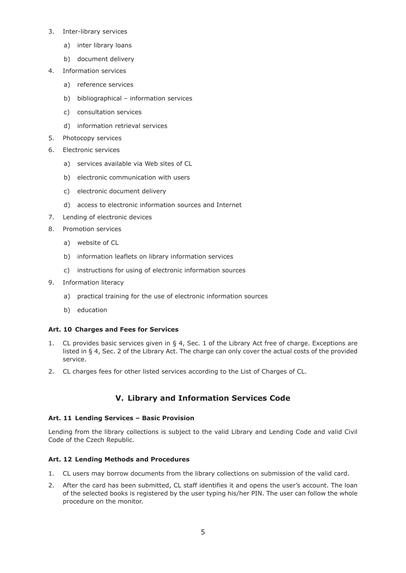- 3. Inter-library services
	- a) inter library loans
	- b) document delivery
- 4. Information services
	- a) reference services
	- b) bibliographical information services
	- c) consultation services
	- d) information retrieval services
- 5. Photocopy services
- 6. Electronic services
	- a) services available via Web sites of CL
	- b) electronic communication with users
	- c) electronic document delivery
	- d) access to electronic information sources and Internet
- 7. Lending of electronic devices
- 8. Promotion services
	- a) website of CL
	- b) information leaflets on library information services
	- c) instructions for using of electronic information sources
- 9. Information literacy
	- a) practical training for the use of electronic information sources
	- b) education

# **Art. 10 Charges and Fees for Services**

- 1. CL provides basic services given in § 4, Sec. 1 of the Library Act free of charge. Exceptions are listed in § 4, Sec. 2 of the Library Act. The charge can only cover the actual costs of the provided service.
- 2. CL charges fees for other listed services according to the List of Charges of CL.

# **V. Library and Information Services Code**

# **Art. 11 Lending Services – Basic Provision**

Lending from the library collections is subject to the valid Library and Lending Code and valid Civil Code of the Czech Republic.

# **Art. 12 Lending Methods and Procedures**

- 1. CL users may borrow documents from the library collections on submission of the valid card.
- 2. After the card has been submitted, CL staff identifies it and opens the user's account. The loan of the selected books is registered by the user typing his/her PIN. The user can follow the whole procedure on the monitor.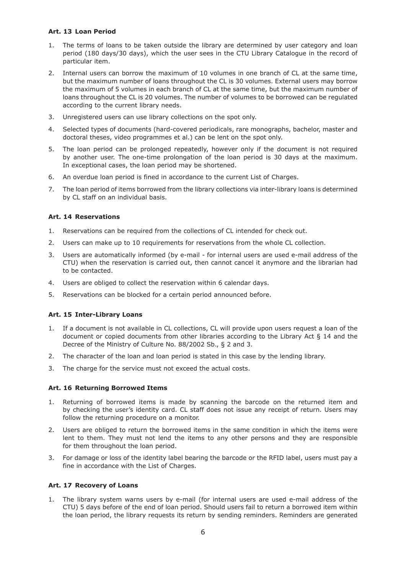#### **Art. 13 Loan Period**

- 1. The terms of loans to be taken outside the library are determined by user category and loan period (180 days/30 days), which the user sees in the CTU Library Catalogue in the record of particular item.
- 2. Internal users can borrow the maximum of 10 volumes in one branch of CL at the same time, but the maximum number of loans throughout the CL is 30 volumes. External users may borrow the maximum of 5 volumes in each branch of CL at the same time, but the maximum number of loans throughout the CL is 20 volumes. The number of volumes to be borrowed can be regulated according to the current library needs.
- 3. Unregistered users can use library collections on the spot only.
- 4. Selected types of documents (hard-covered periodicals, rare monographs, bachelor, master and doctoral theses, video programmes et al.) can be lent on the spot only.
- 5. The loan period can be prolonged repeatedly, however only if the document is not required by another user. The one-time prolongation of the loan period is 30 days at the maximum. In exceptional cases, the loan period may be shortened.
- 6. An overdue loan period is fined in accordance to the current List of Charges.
- 7. The loan period of items borrowed from the library collections via inter-library loans is determined by CL staff on an individual basis.

# **Art. 14 Reservations**

- 1. Reservations can be required from the collections of CL intended for check out.
- 2. Users can make up to 10 requirements for reservations from the whole CL collection.
- 3. Users are automatically informed (by e-mail for internal users are used e-mail address of the CTU) when the reservation is carried out, then cannot cancel it anymore and the librarian had to be contacted.
- 4. Users are obliged to collect the reservation within 6 calendar days.
- 5. Reservations can be blocked for a certain period announced before.

# **Art. 15 Inter-Library Loans**

- 1. If a document is not available in CL collections, CL will provide upon users request a loan of the document or copied documents from other libraries according to the Library Act § 14 and the Decree of the Ministry of Culture No. 88/2002 Sb., § 2 and 3.
- 2. The character of the loan and loan period is stated in this case by the lending library.
- 3. The charge for the service must not exceed the actual costs.

# **Art. 16 Returning Borrowed Items**

- 1. Returning of borrowed items is made by scanning the barcode on the returned item and by checking the user's identity card. CL staff does not issue any receipt of return. Users may follow the returning procedure on a monitor.
- 2. Users are obliged to return the borrowed items in the same condition in which the items were lent to them. They must not lend the items to any other persons and they are responsible for them throughout the loan period.
- 3. For damage or loss of the identity label bearing the barcode or the RFID label, users must pay a fine in accordance with the List of Charges.

# **Art. 17 Recovery of Loans**

1. The library system warns users by e-mail (for internal users are used e-mail address of the CTU) 5 days before of the end of loan period. Should users fail to return a borrowed item within the loan period, the library requests its return by sending reminders. Reminders are generated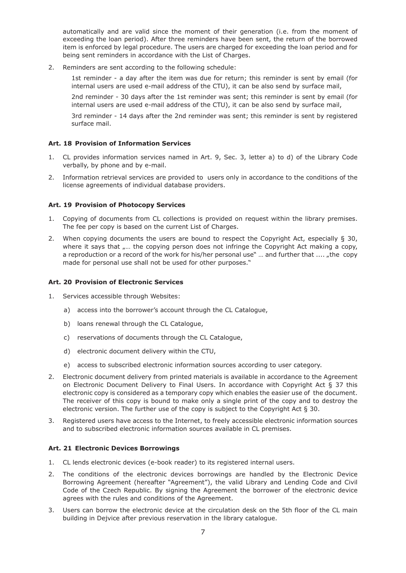automatically and are valid since the moment of their generation (i.e. from the moment of exceeding the loan period). After three reminders have been sent, the return of the borrowed item is enforced by legal procedure. The users are charged for exceeding the loan period and for being sent reminders in accordance with the List of Charges.

2. Reminders are sent according to the following schedule:

1st reminder - a day after the item was due for return; this reminder is sent by email (for internal users are used e-mail address of the CTU), it can be also send by surface mail,

2nd reminder - 30 days after the 1st reminder was sent; this reminder is sent by email (for internal users are used e-mail address of the CTU), it can be also send by surface mail,

3rd reminder - 14 days after the 2nd reminder was sent; this reminder is sent by registered surface mail.

#### **Art. 18 Provision of Information Services**

- 1. CL provides information services named in Art. 9, Sec. 3, letter a) to d) of the Library Code verbally, by phone and by e-mail.
- 2. Information retrieval services are provided to users only in accordance to the conditions of the license agreements of individual database providers.

#### **Art. 19 Provision of Photocopy Services**

- 1. Copying of documents from CL collections is provided on request within the library premises. The fee per copy is based on the current List of Charges.
- 2. When copying documents the users are bound to respect the Copyright Act, especially  $\S$  30, where it says that  $\ldots$  the copying person does not infringe the Copyright Act making a copy, a reproduction or a record of the work for his/her personal use" ... and further that .... "the copy made for personal use shall not be used for other purposes."

#### **Art. 20 Provision of Electronic Services**

- 1. Services accessible through Websites:
	- a) access into the borrower's account through the CL Catalogue,
	- b) loans renewal through the CL Catalogue,
	- c) reservations of documents through the CL Catalogue,
	- d) electronic document delivery within the CTU,
	- e) access to subscribed electronic information sources according to user category.
- 2. Electronic document delivery from printed materials is available in accordance to the Agreement on Electronic Document Delivery to Final Users. In accordance with Copyright Act § 37 this electronic copy is considered as a temporary copy which enables the easier use of the document. The receiver of this copy is bound to make only a single print of the copy and to destroy the electronic version. The further use of the copy is subject to the Copyright Act § 30.
- 3. Registered users have access to the Internet, to freely accessible electronic information sources and to subscribed electronic information sources available in CL premises.

#### **Art. 21 Electronic Devices Borrowings**

- 1. CL lends electronic devices (e-book reader) to its registered internal users.
- 2. The conditions of the electronic devices borrowings are handled by the Electronic Device Borrowing Agreement (hereafter "Agreement"), the valid Library and Lending Code and Civil Code of the Czech Republic. By signing the Agreement the borrower of the electronic device agrees with the rules and conditions of the Agreement.
- 3. Users can borrow the electronic device at the circulation desk on the 5th floor of the CL main building in Dejvice after previous reservation in the library catalogue.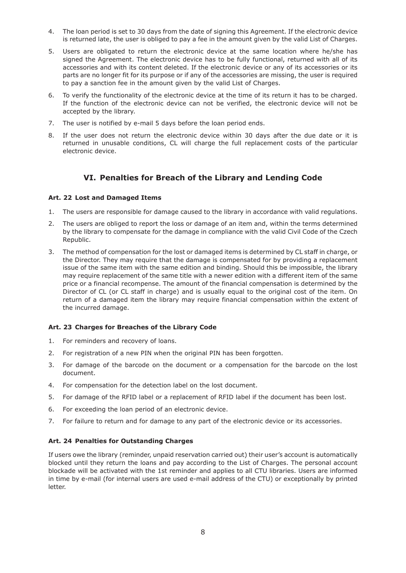- 4. The loan period is set to 30 days from the date of signing this Agreement. If the electronic device is returned late, the user is obliged to pay a fee in the amount given by the valid List of Charges.
- 5. Users are obligated to return the electronic device at the same location where he/she has signed the Agreement. The electronic device has to be fully functional, returned with all of its accessories and with its content deleted. If the electronic device or any of its accessories or its parts are no longer fit for its purpose or if any of the accessories are missing, the user is required to pay a sanction fee in the amount given by the valid List of Charges.
- 6. To verify the functionality of the electronic device at the time of its return it has to be charged. If the function of the electronic device can not be verified, the electronic device will not be accepted by the library.
- 7. The user is notified by e-mail 5 days before the loan period ends.
- 8. If the user does not return the electronic device within 30 days after the due date or it is returned in unusable conditions, CL will charge the full replacement costs of the particular electronic device.

# **VI. Penalties for Breach of the Library and Lending Code**

# **Art. 22 Lost and Damaged Items**

- 1. The users are responsible for damage caused to the library in accordance with valid regulations.
- 2. The users are obliged to report the loss or damage of an item and, within the terms determined by the library to compensate for the damage in compliance with the valid Civil Code of the Czech Republic.
- 3. The method of compensation for the lost or damaged items is determined by CL staff in charge, or the Director. They may require that the damage is compensated for by providing a replacement issue of the same item with the same edition and binding. Should this be impossible, the library may require replacement of the same title with a newer edition with a different item of the same price or a financial recompense. The amount of the financial compensation is determined by the Director of CL (or CL staff in charge) and is usually equal to the original cost of the item. On return of a damaged item the library may require financial compensation within the extent of the incurred damage.

# **Art. 23 Charges for Breaches of the Library Code**

- 1. For reminders and recovery of loans.
- 2. For registration of a new PIN when the original PIN has been forgotten.
- 3. For damage of the barcode on the document or a compensation for the barcode on the lost document.
- 4. For compensation for the detection label on the lost document.
- 5. For damage of the RFID label or a replacement of RFID label if the document has been lost.
- 6. For exceeding the loan period of an electronic device.
- 7. For failure to return and for damage to any part of the electronic device or its accessories.

# **Art. 24 Penalties for Outstanding Charges**

If users owe the library (reminder, unpaid reservation carried out) their user's account is automatically blocked until they return the loans and pay according to the List of Charges. The personal account blockade will be activated with the 1st reminder and applies to all CTU libraries. Users are informed in time by e-mail (for internal users are used e-mail address of the CTU) or exceptionally by printed letter.